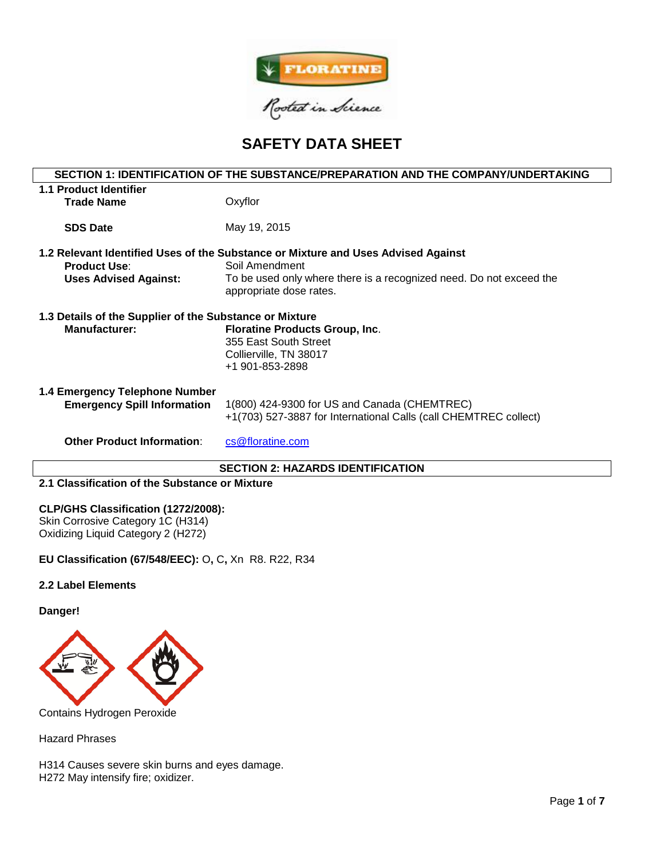

# **SAFETY DATA SHEET**

# **SECTION 1: IDENTIFICATION OF THE SUBSTANCE/PREPARATION AND THE COMPANY/UNDERTAKING 1.1 Product Identifier Trade Name** Oxyflor **SDS Date** May 19, 2015 **1.2 Relevant Identified Uses of the Substance or Mixture and Uses Advised Against Product Use:** Soil Amendment **Uses Advised Against:** To be used only where there is a recognized need. Do not exceed the appropriate dose rates. **1.3 Details of the Supplier of the Substance or Mixture Manufacturer: Floratine Products Group, Inc**. 355 East South Street Collierville, TN 38017 +1 901-853-2898 **1.4 Emergency Telephone Number Emergency Spill Information** 1(800) 424-9300 for US and Canada (CHEMTREC) +1(703) 527-3887 for International Calls (call CHEMTREC collect) **Other Product Information:** [cs@floratine.com](mailto:cs@floratine.com)

## **SECTION 2: HAZARDS IDENTIFICATION**

## **2.1 Classification of the Substance or Mixture**

#### **CLP/GHS Classification (1272/2008):**

Skin Corrosive Category 1C (H314) Oxidizing Liquid Category 2 (H272)

**EU Classification (67/548/EEC):** O**,** C**,** Xn R8. R22, R34

## **2.2 Label Elements**

#### **Danger!**



Contains Hydrogen Peroxide

Hazard Phrases

H314 Causes severe skin burns and eyes damage. H272 May intensify fire; oxidizer.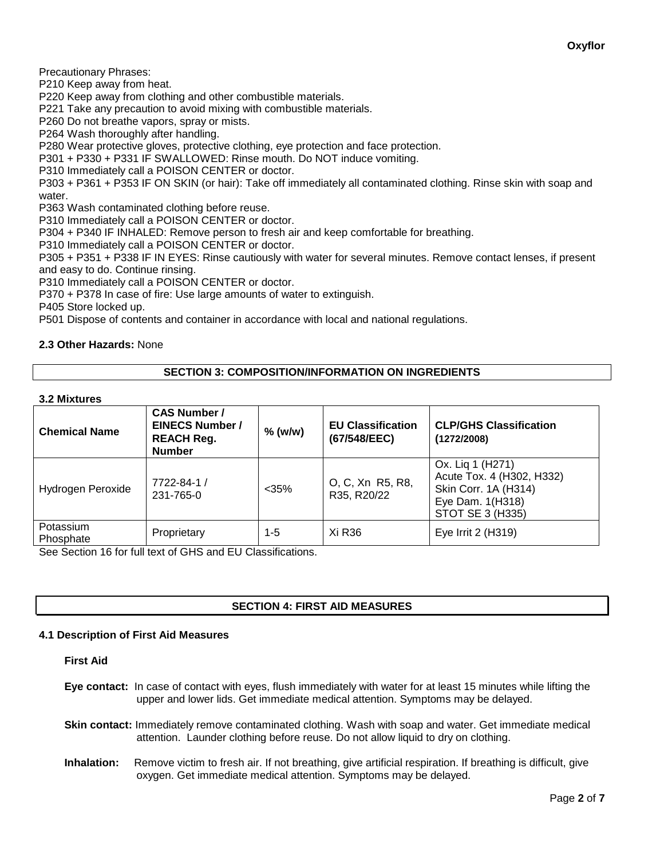Precautionary Phrases:

P210 Keep away from heat.

P220 Keep away from clothing and other combustible materials.

P221 Take any precaution to avoid mixing with combustible materials.

P260 Do not breathe vapors, spray or mists.

P264 Wash thoroughly after handling.

P280 Wear protective gloves, protective clothing, eye protection and face protection.

P301 + P330 + P331 IF SWALLOWED: Rinse mouth. Do NOT induce vomiting.

P310 Immediately call a POISON CENTER or doctor.

P303 + P361 + P353 IF ON SKIN (or hair): Take off immediately all contaminated clothing. Rinse skin with soap and water.

P363 Wash contaminated clothing before reuse.

P310 Immediately call a POISON CENTER or doctor.

P304 + P340 IF INHALED: Remove person to fresh air and keep comfortable for breathing.

P310 Immediately call a POISON CENTER or doctor.

P305 + P351 + P338 IF IN EYES: Rinse cautiously with water for several minutes. Remove contact lenses, if present and easy to do. Continue rinsing.

P310 Immediately call a POISON CENTER or doctor.

P370 + P378 In case of fire: Use large amounts of water to extinguish.

P405 Store locked up.

P501 Dispose of contents and container in accordance with local and national regulations.

# **2.3 Other Hazards:** None

# **SECTION 3: COMPOSITION/INFORMATION ON INGREDIENTS**

#### **3.2 Mixtures**

| <b>Chemical Name</b>   | <b>CAS Number /</b><br><b>EINECS Number /</b><br><b>REACH Reg.</b><br><b>Number</b> | $%$ (w/w) | <b>EU Classification</b><br>(67/548/EEC) | <b>CLP/GHS Classification</b><br>(1272/2008)                                                                  |
|------------------------|-------------------------------------------------------------------------------------|-----------|------------------------------------------|---------------------------------------------------------------------------------------------------------------|
| Hydrogen Peroxide      | 7722-84-1 /<br>231-765-0                                                            | $<$ 35%   | O, C, Xn R5, R8,<br>R35, R20/22          | Ox. Lig 1 (H271)<br>Acute Tox. 4 (H302, H332)<br>Skin Corr. 1A (H314)<br>Eye Dam. 1(H318)<br>STOT SE 3 (H335) |
| Potassium<br>Phosphate | Proprietary                                                                         | 1-5       | Xi R36                                   | Eye Irrit 2 (H319)                                                                                            |

See Section 16 for full text of GHS and EU Classifications.

# **SECTION 4: FIRST AID MEASURES**

## **4.1 Description of First Aid Measures**

## **First Aid**

**Eye contact:** In case of contact with eyes, flush immediately with water for at least 15 minutes while lifting the upper and lower lids. Get immediate medical attention. Symptoms may be delayed.

**Skin contact:** Immediately remove contaminated clothing. Wash with soap and water. Get immediate medical attention. Launder clothing before reuse. Do not allow liquid to dry on clothing.

**Inhalation:** Remove victim to fresh air. If not breathing, give artificial respiration. If breathing is difficult, give oxygen. Get immediate medical attention. Symptoms may be delayed.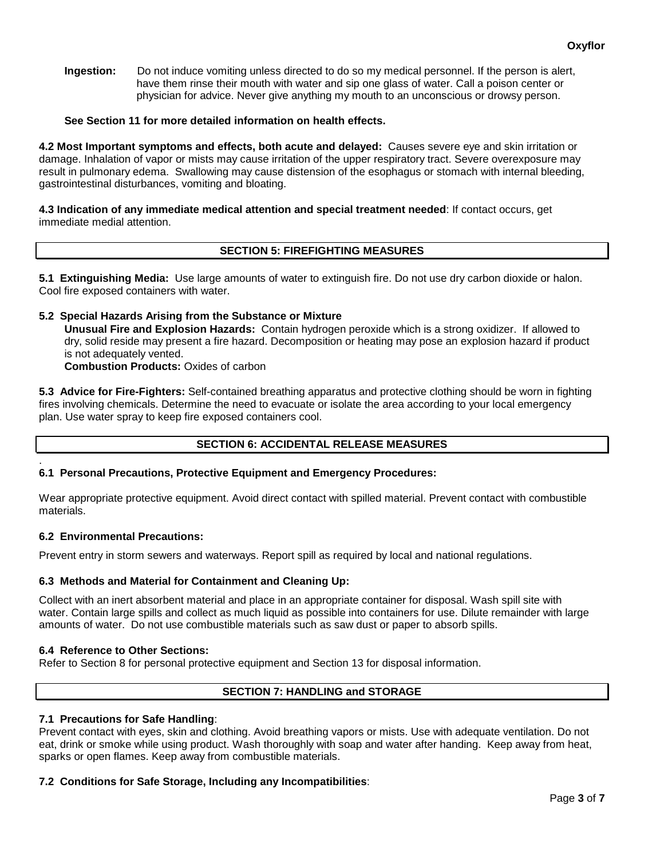**Ingestion:** Do not induce vomiting unless directed to do so my medical personnel. If the person is alert, have them rinse their mouth with water and sip one glass of water. Call a poison center or physician for advice. Never give anything my mouth to an unconscious or drowsy person.

# **See Section 11 for more detailed information on health effects.**

**4.2 Most Important symptoms and effects, both acute and delayed:** Causes severe eye and skin irritation or damage. Inhalation of vapor or mists may cause irritation of the upper respiratory tract. Severe overexposure may result in pulmonary edema. Swallowing may cause distension of the esophagus or stomach with internal bleeding, gastrointestinal disturbances, vomiting and bloating.

**4.3 Indication of any immediate medical attention and special treatment needed**: If contact occurs, get immediate medial attention.

# **SECTION 5: FIREFIGHTING MEASURES**

**5.1 Extinguishing Media:** Use large amounts of water to extinguish fire. Do not use dry carbon dioxide or halon. Cool fire exposed containers with water.

## **5.2 Special Hazards Arising from the Substance or Mixture**

**Unusual Fire and Explosion Hazards:** Contain hydrogen peroxide which is a strong oxidizer. If allowed to dry, solid reside may present a fire hazard. Decomposition or heating may pose an explosion hazard if product is not adequately vented.

**Combustion Products:** Oxides of carbon

**5.3 Advice for Fire-Fighters:** Self-contained breathing apparatus and protective clothing should be worn in fighting fires involving chemicals. Determine the need to evacuate or isolate the area according to your local emergency plan. Use water spray to keep fire exposed containers cool.

# **SECTION 6: ACCIDENTAL RELEASE MEASURES**

#### . **6.1 Personal Precautions, Protective Equipment and Emergency Procedures:**

Wear appropriate protective equipment. Avoid direct contact with spilled material. Prevent contact with combustible materials.

## **6.2 Environmental Precautions:**

Prevent entry in storm sewers and waterways. Report spill as required by local and national regulations.

## **6.3 Methods and Material for Containment and Cleaning Up:**

Collect with an inert absorbent material and place in an appropriate container for disposal. Wash spill site with water. Contain large spills and collect as much liquid as possible into containers for use. Dilute remainder with large amounts of water. Do not use combustible materials such as saw dust or paper to absorb spills.

## **6.4 Reference to Other Sections:**

Refer to Section 8 for personal protective equipment and Section 13 for disposal information.

# **SECTION 7: HANDLING and STORAGE**

## **7.1 Precautions for Safe Handling**:

Prevent contact with eyes, skin and clothing. Avoid breathing vapors or mists. Use with adequate ventilation. Do not eat, drink or smoke while using product. Wash thoroughly with soap and water after handing. Keep away from heat, sparks or open flames. Keep away from combustible materials.

# **7.2 Conditions for Safe Storage, Including any Incompatibilities**: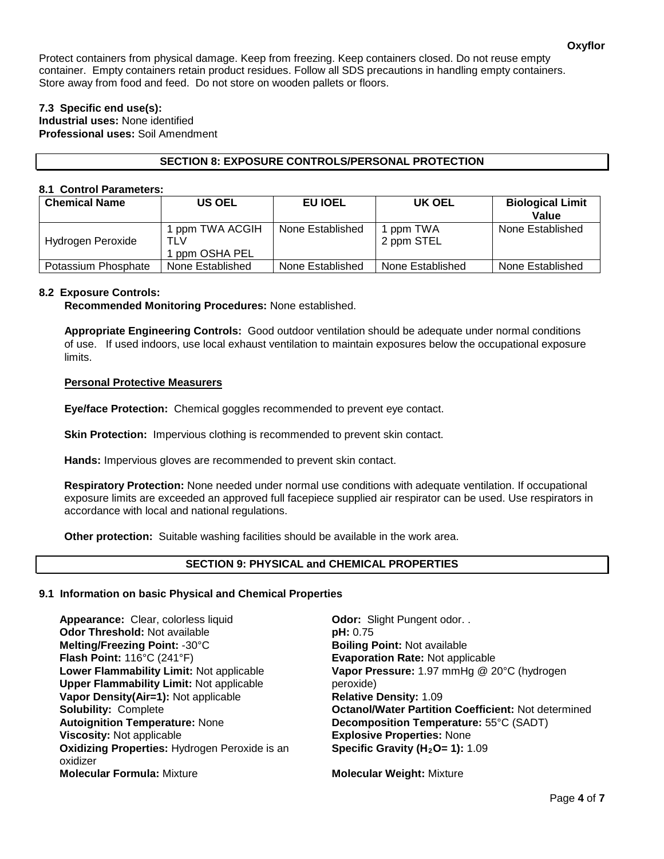Protect containers from physical damage. Keep from freezing. Keep containers closed. Do not reuse empty container. Empty containers retain product residues. Follow all SDS precautions in handling empty containers. Store away from food and feed. Do not store on wooden pallets or floors.

# **7.3 Specific end use(s):**

**Industrial uses:** None identified **Professional uses:** Soil Amendment

# **SECTION 8: EXPOSURE CONTROLS/PERSONAL PROTECTION**

## **8.1 Control Parameters:**

| <b>Chemical Name</b> | <b>US OEL</b>                            | EU IOEL          | UK OEL                  | <b>Biological Limit</b><br>Value |
|----------------------|------------------------------------------|------------------|-------------------------|----------------------------------|
| Hydrogen Peroxide    | 1 ppm TWA ACGIH<br>TLV<br>1 ppm OSHA PEL | None Established | 1 ppm TWA<br>2 ppm STEL | None Established                 |
| Potassium Phosphate  | None Established                         | None Established | None Established        | None Established                 |

# **8.2 Exposure Controls:**

**Recommended Monitoring Procedures:** None established.

**Appropriate Engineering Controls:** Good outdoor ventilation should be adequate under normal conditions of use. If used indoors, use local exhaust ventilation to maintain exposures below the occupational exposure limits.

# **Personal Protective Measurers**

**Eye/face Protection:** Chemical goggles recommended to prevent eye contact.

**Skin Protection:** Impervious clothing is recommended to prevent skin contact.

**Hands:** Impervious gloves are recommended to prevent skin contact.

**Respiratory Protection:** None needed under normal use conditions with adequate ventilation. If occupational exposure limits are exceeded an approved full facepiece supplied air respirator can be used. Use respirators in accordance with local and national regulations.

**Other protection:** Suitable washing facilities should be available in the work area.

## **SECTION 9: PHYSICAL and CHEMICAL PROPERTIES**

# **9.1 Information on basic Physical and Chemical Properties**

**Appearance:** Clear, colorless liquid **Odor:** Slight Pungent odor. . **Odor Threshold:** Not available **pH: 0.75 Melting/Freezing Point:** -30°C **Boiling Point:** Not available **Flash Point:** 116°C (241°F) **Evaporation Rate:** Not applicable **Lower Flammability Limit:** Not applicable **Upper Flammability Limit:** Not applicable **Vapor Density(Air=1): Not applicable Autoignition Temperature:** None **Decomposition Temperature:** 55°C (SADT) **Viscosity:** Not applicable **Explosive Properties:** None **Oxidizing Properties:** Hydrogen Peroxide is an oxidizer **Molecular Formula:** Mixture **Molecular Weight:** Mixture

**Vapor Pressure:** 1.97 mmHg @ 20°C (hydrogen peroxide)<br>**Relative Density:** 1.09 **Solubility:** Complete **Octanol/Water Partition Coefficient:** Not determined **Specific Gravity (H<sub>2</sub>O= 1): 1.09**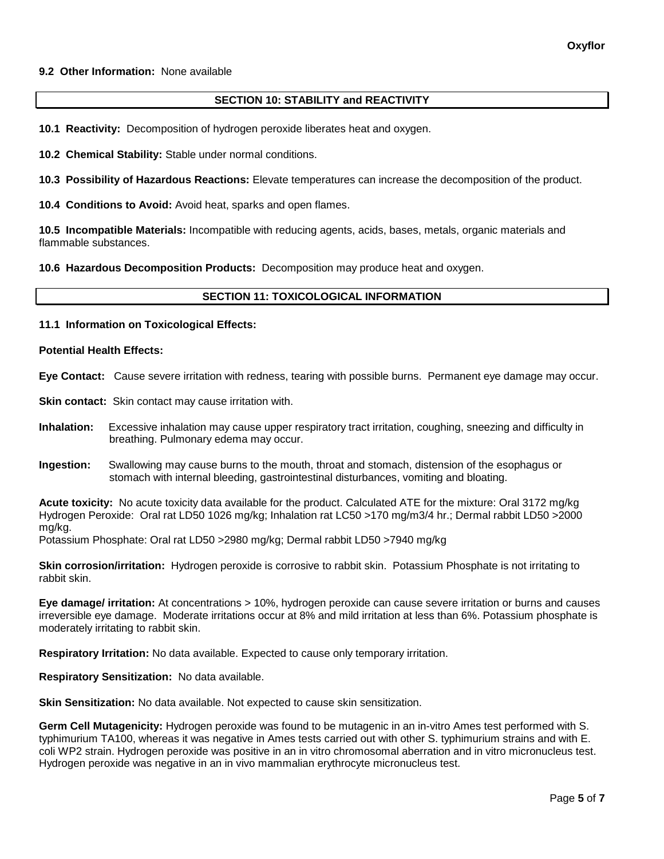## **9.2 Other Information:** None available

#### **SECTION 10: STABILITY and REACTIVITY**

**10.1 Reactivity:** Decomposition of hydrogen peroxide liberates heat and oxygen.

**10.2 Chemical Stability:** Stable under normal conditions.

**10.3 Possibility of Hazardous Reactions:** Elevate temperatures can increase the decomposition of the product.

**10.4 Conditions to Avoid:** Avoid heat, sparks and open flames.

**10.5 Incompatible Materials:** Incompatible with reducing agents, acids, bases, metals, organic materials and flammable substances.

**10.6 Hazardous Decomposition Products:** Decomposition may produce heat and oxygen.

#### **SECTION 11: TOXICOLOGICAL INFORMATION**

#### **11.1 Information on Toxicological Effects:**

#### **Potential Health Effects:**

**Eye Contact:** Cause severe irritation with redness, tearing with possible burns. Permanent eye damage may occur.

**Skin contact:** Skin contact may cause irritation with.

- **Inhalation:** Excessive inhalation may cause upper respiratory tract irritation, coughing, sneezing and difficulty in breathing. Pulmonary edema may occur.
- **Ingestion:** Swallowing may cause burns to the mouth, throat and stomach, distension of the esophagus or stomach with internal bleeding, gastrointestinal disturbances, vomiting and bloating.

**Acute toxicity:** No acute toxicity data available for the product. Calculated ATE for the mixture: Oral 3172 mg/kg Hydrogen Peroxide: Oral rat LD50 1026 mg/kg; Inhalation rat LC50 >170 mg/m3/4 hr.; Dermal rabbit LD50 >2000 mg/kg.

Potassium Phosphate: Oral rat LD50 >2980 mg/kg; Dermal rabbit LD50 >7940 mg/kg

**Skin corrosion/irritation:** Hydrogen peroxide is corrosive to rabbit skin. Potassium Phosphate is not irritating to rabbit skin.

**Eye damage/ irritation:** At concentrations > 10%, hydrogen peroxide can cause severe irritation or burns and causes irreversible eye damage. Moderate irritations occur at 8% and mild irritation at less than 6%. Potassium phosphate is moderately irritating to rabbit skin.

**Respiratory Irritation:** No data available. Expected to cause only temporary irritation.

**Respiratory Sensitization:** No data available.

**Skin Sensitization:** No data available. Not expected to cause skin sensitization.

**Germ Cell Mutagenicity:** Hydrogen peroxide was found to be mutagenic in an in-vitro Ames test performed with S. typhimurium TA100, whereas it was negative in Ames tests carried out with other S. typhimurium strains and with E. coli WP2 strain. Hydrogen peroxide was positive in an in vitro chromosomal aberration and in vitro micronucleus test. Hydrogen peroxide was negative in an in vivo mammalian erythrocyte micronucleus test.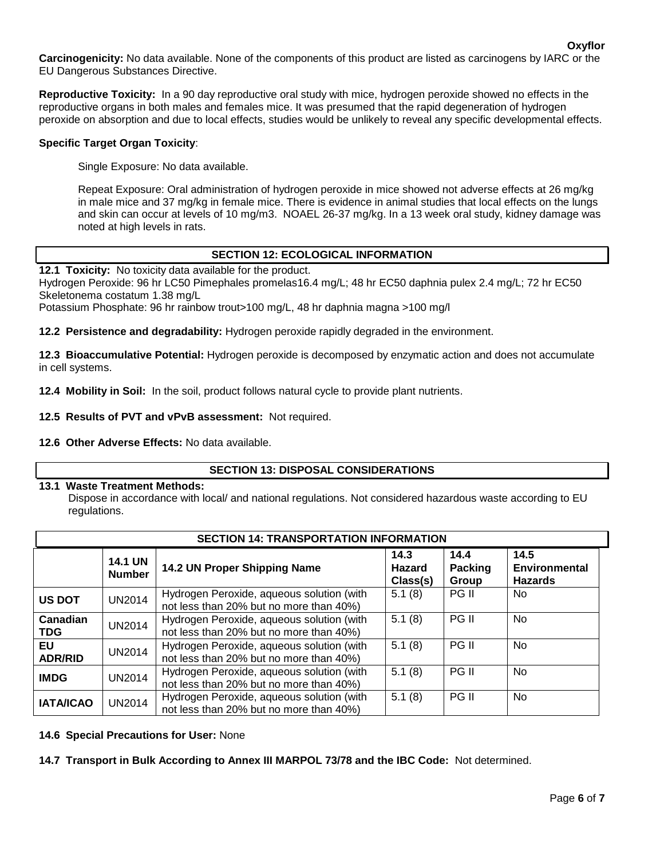**Carcinogenicity:** No data available. None of the components of this product are listed as carcinogens by IARC or the EU Dangerous Substances Directive.

**Reproductive Toxicity:** In a 90 day reproductive oral study with mice, hydrogen peroxide showed no effects in the reproductive organs in both males and females mice. It was presumed that the rapid degeneration of hydrogen peroxide on absorption and due to local effects, studies would be unlikely to reveal any specific developmental effects.

## **Specific Target Organ Toxicity**:

Single Exposure: No data available.

Repeat Exposure: Oral administration of hydrogen peroxide in mice showed not adverse effects at 26 mg/kg in male mice and 37 mg/kg in female mice. There is evidence in animal studies that local effects on the lungs and skin can occur at levels of 10 mg/m3. NOAEL 26-37 mg/kg. In a 13 week oral study, kidney damage was noted at high levels in rats.

# **SECTION 12: ECOLOGICAL INFORMATION**

**12.1 Toxicity:** No toxicity data available for the product.

Hydrogen Peroxide: 96 hr LC50 Pimephales promelas16.4 mg/L; 48 hr EC50 daphnia pulex 2.4 mg/L; 72 hr EC50 Skeletonema costatum 1.38 mg/L

Potassium Phosphate: 96 hr rainbow trout>100 mg/L, 48 hr daphnia magna >100 mg/l

**12.2 Persistence and degradability:** Hydrogen peroxide rapidly degraded in the environment.

**12.3 Bioaccumulative Potential:** Hydrogen peroxide is decomposed by enzymatic action and does not accumulate in cell systems.

**12.4 Mobility in Soil:** In the soil, product follows natural cycle to provide plant nutrients.

## **12.5 Results of PVT and vPvB assessment:** Not required.

#### **12.6 Other Adverse Effects:** No data available.

## **SECTION 13: DISPOSAL CONSIDERATIONS**

#### **13.1 Waste Treatment Methods:**

Dispose in accordance with local/ and national regulations. Not considered hazardous waste according to EU regulations.

| <b>SECTION 14: TRANSPORTATION INFORMATION</b> |                                 |                                                                                      |                                   |                          |                                                |  |  |
|-----------------------------------------------|---------------------------------|--------------------------------------------------------------------------------------|-----------------------------------|--------------------------|------------------------------------------------|--|--|
|                                               | <b>14.1 UN</b><br><b>Number</b> | 14.2 UN Proper Shipping Name                                                         | 14.3<br><b>Hazard</b><br>Class(s) | 14.4<br>Packing<br>Group | 14.5<br><b>Environmental</b><br><b>Hazards</b> |  |  |
| <b>US DOT</b>                                 | <b>UN2014</b>                   | Hydrogen Peroxide, aqueous solution (with<br>not less than 20% but no more than 40%) | 5.1(8)                            | PG II                    | No.                                            |  |  |
| Canadian<br><b>TDG</b>                        | <b>UN2014</b>                   | Hydrogen Peroxide, aqueous solution (with<br>not less than 20% but no more than 40%) | 5.1(8)                            | PG II                    | No.                                            |  |  |
| EU<br><b>ADR/RID</b>                          | <b>UN2014</b>                   | Hydrogen Peroxide, aqueous solution (with<br>not less than 20% but no more than 40%) | 5.1(8)                            | <b>PG II</b>             | No.                                            |  |  |
| <b>IMDG</b>                                   | <b>UN2014</b>                   | Hydrogen Peroxide, aqueous solution (with<br>not less than 20% but no more than 40%) | 5.1(8)                            | PG II                    | No.                                            |  |  |
| <b>IATA/ICAO</b>                              | <b>UN2014</b>                   | Hydrogen Peroxide, aqueous solution (with<br>not less than 20% but no more than 40%) | 5.1(8)                            | PG II                    | No.                                            |  |  |

## **14.6 Special Precautions for User:** None

**14.7 Transport in Bulk According to Annex III MARPOL 73/78 and the IBC Code:** Not determined.